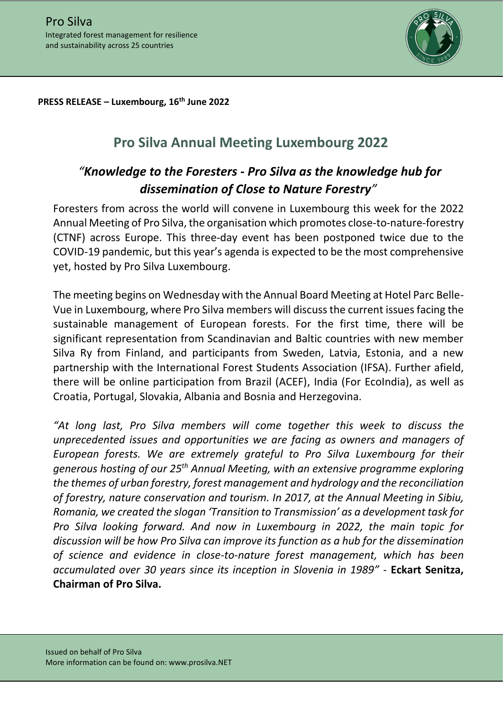

**PRESS RELEASE – Luxembourg, 16 th June 2022**

# **Pro Silva Annual Meeting Luxembourg 2022**

## *"Knowledge to the Foresters - Pro Silva as the knowledge hub for dissemination of Close to Nature Forestry"*

Foresters from across the world will convene in Luxembourg this week for the 2022 Annual Meeting of Pro Silva, the organisation which promotes close-to-nature-forestry (CTNF) across Europe. This three-day event has been postponed twice due to the COVID-19 pandemic, but this year's agenda is expected to be the most comprehensive yet, hosted by Pro Silva Luxembourg.

The meeting begins on Wednesday with the Annual Board Meeting at Hotel Parc Belle-Vue in Luxembourg, where Pro Silva members will discuss the current issues facing the sustainable management of European forests. For the first time, there will be significant representation from Scandinavian and Baltic countries with new member Silva Ry from Finland, and participants from Sweden, Latvia, Estonia, and a new partnership with the International Forest Students Association (IFSA). Further afield, there will be online participation from Brazil (ACEF), India (For EcoIndia), as well as Croatia, Portugal, Slovakia, Albania and Bosnia and Herzegovina.

*"At long last, Pro Silva members will come together this week to discuss the unprecedented issues and opportunities we are facing as owners and managers of European forests. We are extremely grateful to Pro Silva Luxembourg for their generous hosting of our 25th Annual Meeting, with an extensive programme exploring the themes of urban forestry, forest management and hydrology and the reconciliation of forestry, nature conservation and tourism. In 2017, at the Annual Meeting in Sibiu, Romania, we created the slogan 'Transition to Transmission' as a development task for Pro Silva looking forward. And now in Luxembourg in 2022, the main topic for discussion will be how Pro Silva can improve its function as a hub for the dissemination of science and evidence in close-to-nature forest management, which has been accumulated over 30 years since its inception in Slovenia in 1989"* - **Eckart Senitza, Chairman of Pro Silva.**